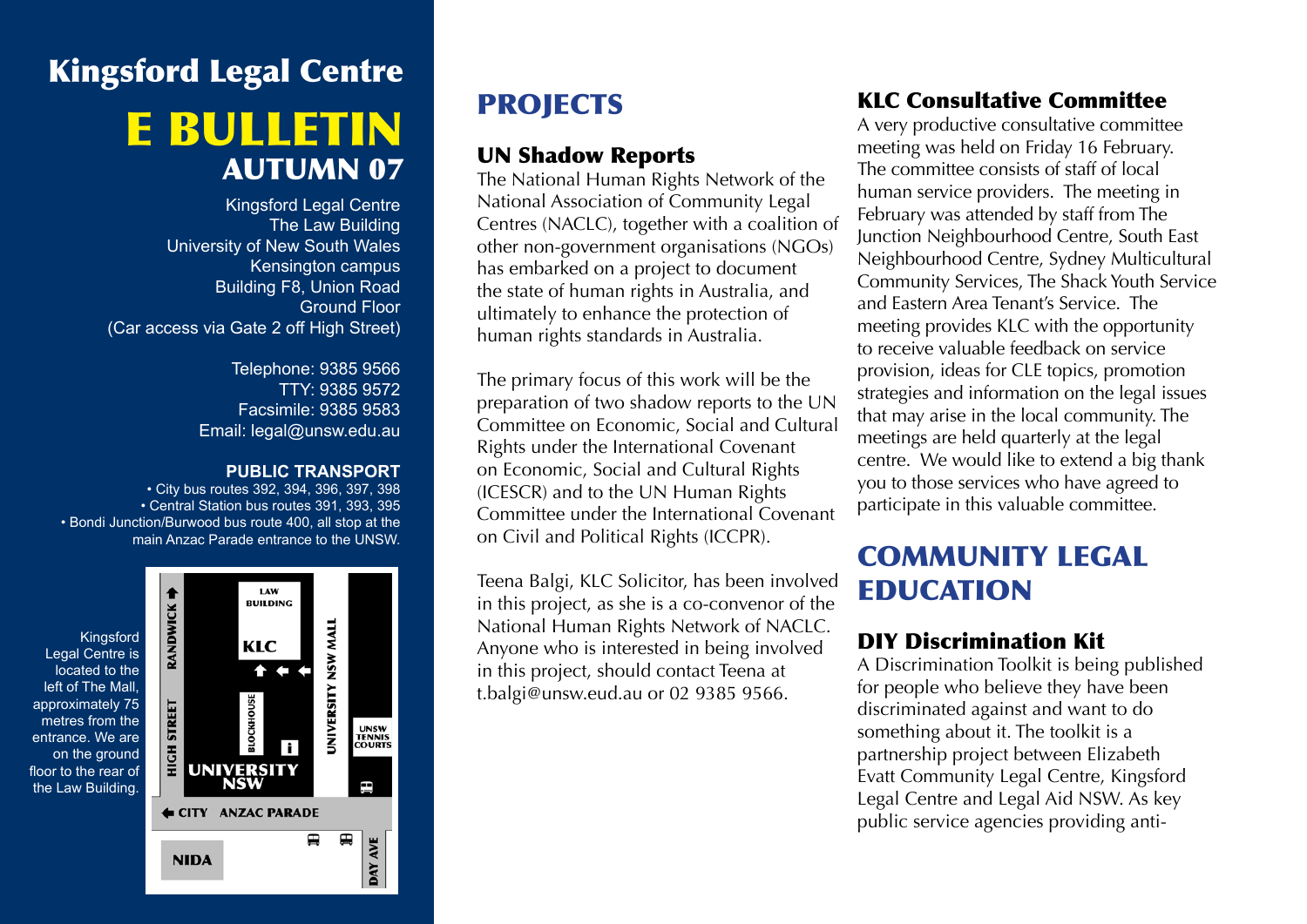# Kingsford Legal Centre e bulletin AUTUMN 07

Kingsford Legal Centre The Law Building University of New South Wales Kensington campus Building F8, Union Road Ground Floor (Car access via Gate 2 off High Street)

> Telephone: 9385 9566 TTY: 9385 9572 Facsimile: 9385 9583 Email: legal@unsw.edu.au

#### **PUBLIC TRANSPORT**

• City bus routes 392, 394, 396, 397, 398 • Central Station bus routes 391, 393, 395 • Bondi Junction/Burwood bus route 400, all stop at the main Anzac Parade entrance to the UNSW.



# **PROJECTS**

#### UN Shadow Reports

The National Human Rights Network of the National Association of Community Legal Centres (NACLC), together with a coalition of other non-government organisations (NGOs) has embarked on a project to document the state of human rights in Australia, and ultimately to enhance the protection of human rights standards in Australia.

The primary focus of this work will be the preparation of two shadow reports to the UN Committee on Economic, Social and Cultural Rights under the International Covenant on Economic, Social and Cultural Rights (ICESCR) and to the UN Human Rights Committee under the International Covenant on Civil and Political Rights (ICCPR).

Teena Balgi, KLC Solicitor, has been involved in this project, as she is a co-convenor of the National Human Rights Network of NACLC. Anyone who is interested in being involved in this project, should contact Teena at t.balgi@unsw.eud.au or 02 9385 9566.

### KLC Consultative Committee

A very productive consultative committee meeting was held on Friday 16 February. The committee consists of staff of local human service providers. The meeting in February was attended by staff from The Junction Neighbourhood Centre, South East Neighbourhood Centre, Sydney Multicultural Community Services, The Shack Youth Service and Eastern Area Tenant's Service. The meeting provides KLC with the opportunity to receive valuable feedback on service provision, ideas for CLE topics, promotion strategies and information on the legal issues that may arise in the local community. The meetings are held quarterly at the legal centre. We would like to extend a big thank you to those services who have agreed to participate in this valuable committee.

### COMMUNITY LEGAL EDUCATION

### DIY Discrimination Kit

A Discrimination Toolkit is being published for people who believe they have been discriminated against and want to do something about it. The toolkit is a partnership project between Elizabeth Evatt Community Legal Centre, Kingsford Legal Centre and Legal Aid NSW. As key public service agencies providing anti-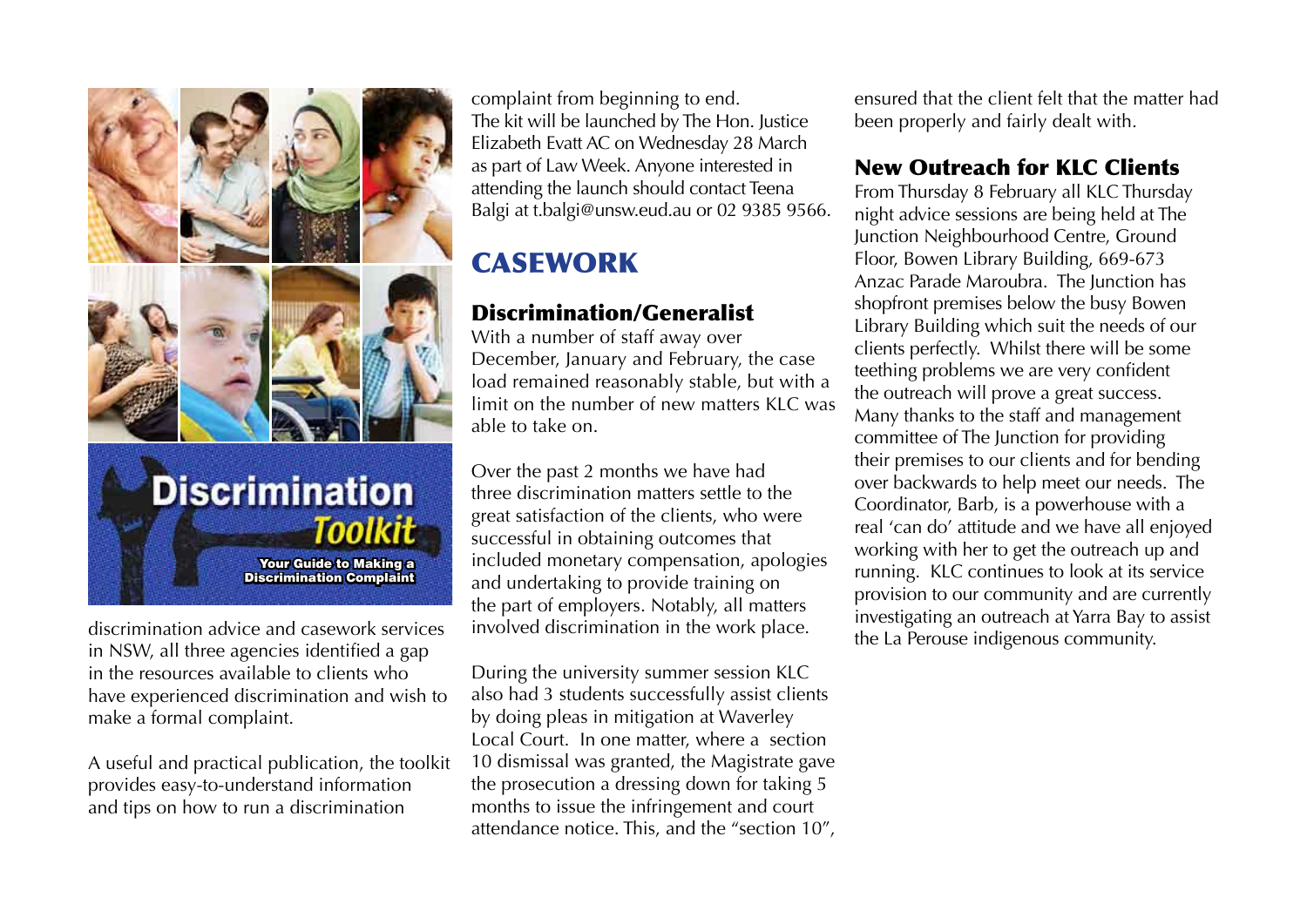

**Discrimination** Toolkit Your Guide to Making a Discrimination Complaint

discrimination advice and casework services in NSW, all three agencies identified a gap in the resources available to clients who have experienced discrimination and wish to make a formal complaint.

A useful and practical publication, the toolkit provides easy-to-understand information and tips on how to run a discrimination

complaint from beginning to end. The kit will be launched by The Hon. Justice Elizabeth Evatt AC on Wednesday 28 March as part of Law Week. Anyone interested in attending the launch should contact Teena Balgi at t.balgi@unsw.eud.au or 02 9385 9566.

# **CASEWORK**

#### Discrimination/Generalist

With a number of staff away over December, January and February, the case load remained reasonably stable, but with a limit on the number of new matters KLC was able to take on.

Over the past 2 months we have had three discrimination matters settle to the great satisfaction of the clients, who were successful in obtaining outcomes that included monetary compensation, apologies and undertaking to provide training on the part of employers. Notably, all matters involved discrimination in the work place.

During the university summer session KLC also had 3 students successfully assist clients by doing pleas in mitigation at Waverley Local Court. In one matter, where a section 10 dismissal was granted, the Magistrate gave the prosecution a dressing down for taking 5 months to issue the infringement and court attendance notice. This, and the "section 10", ensured that the client felt that the matter had been properly and fairly dealt with.

#### New Outreach for KLC Clients

From Thursday 8 February all KLC Thursday night advice sessions are being held at The Junction Neighbourhood Centre, Ground Floor, Bowen Library Building, 669-673 Anzac Parade Maroubra. The Junction has shopfront premises below the busy Bowen Library Building which suit the needs of our clients perfectly. Whilst there will be some teething problems we are very confident the outreach will prove a great success. Many thanks to the staff and management committee of The Junction for providing their premises to our clients and for bending over backwards to help meet our needs. The Coordinator, Barb, is a powerhouse with a real 'can do' attitude and we have all enjoyed working with her to get the outreach up and running. KLC continues to look at its service provision to our community and are currently investigating an outreach at Yarra Bay to assist the La Perouse indigenous community.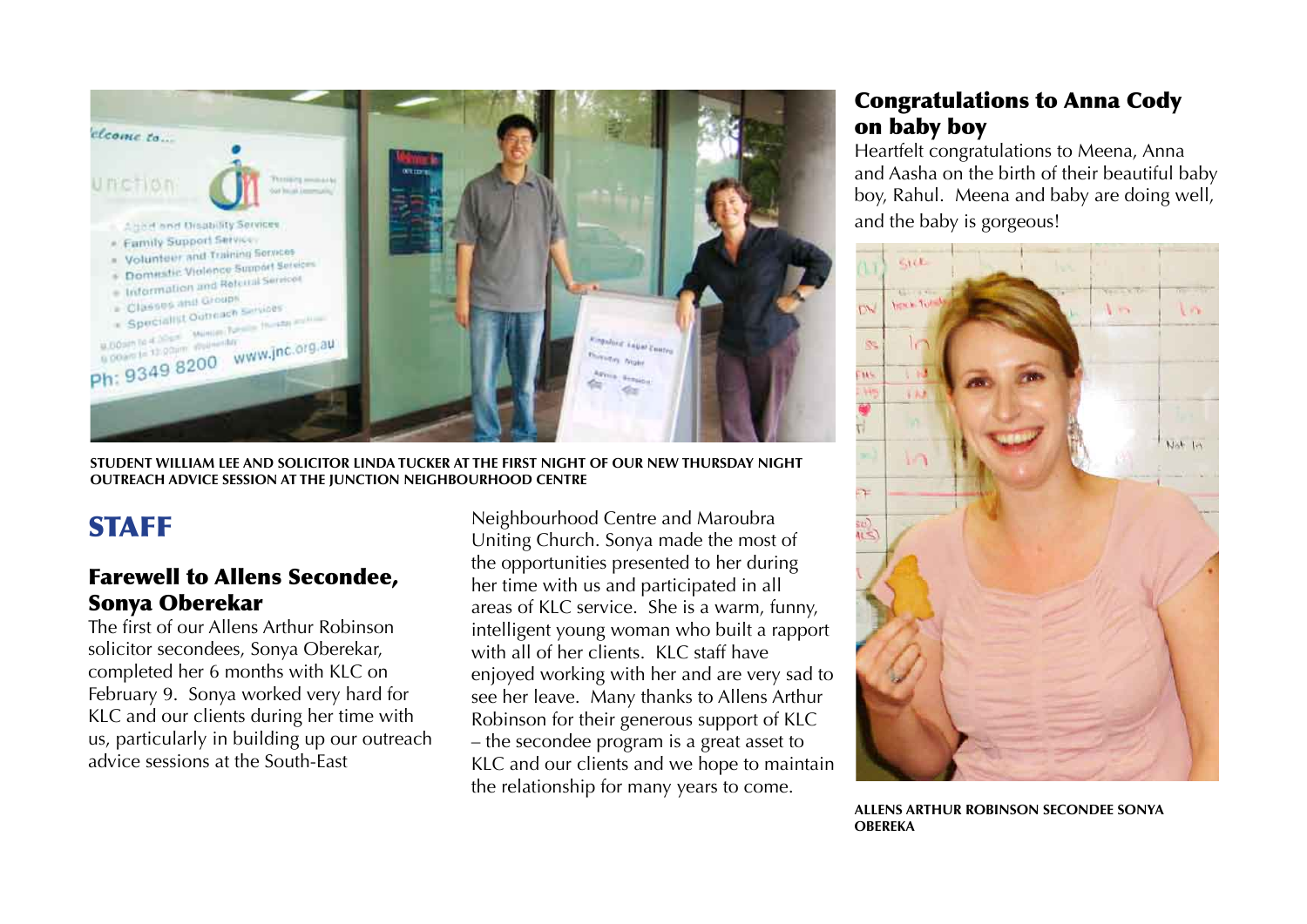

**Student William Lee and Solicitor Linda Tucker at the first night of our new Thursday night outreach advice session at The Junction Neighbourhood Centre**

### **STAFF**

#### Farewell to Allens Secondee, Sonya Oberekar

The first of our Allens Arthur Robinson solicitor secondees, Sonya Oberekar, completed her 6 months with KLC on February 9. Sonya worked very hard for KLC and our clients during her time with us, particularly in building up our outreach advice sessions at the South-East

Neighbourhood Centre and Maroubra Uniting Church. Sonya made the most of the opportunities presented to her during her time with us and participated in all areas of KLC service. She is a warm, funny, intelligent young woman who built a rapport with all of her clients. KLC staff have enjoyed working with her and are very sad to see her leave. Many thanks to Allens Arthur Robinson for their generous support of KLC – the secondee program is a great asset to KLC and our clients and we hope to maintain the relationship for many years to come.

#### Congratulations to Anna Cody on baby boy

Heartfelt congratulations to Meena, Anna and Aasha on the birth of their beautiful baby boy, Rahul. Meena and baby are doing well, and the baby is gorgeous!



**Allens Arthur Robinson Secondee Sonya Obereka**